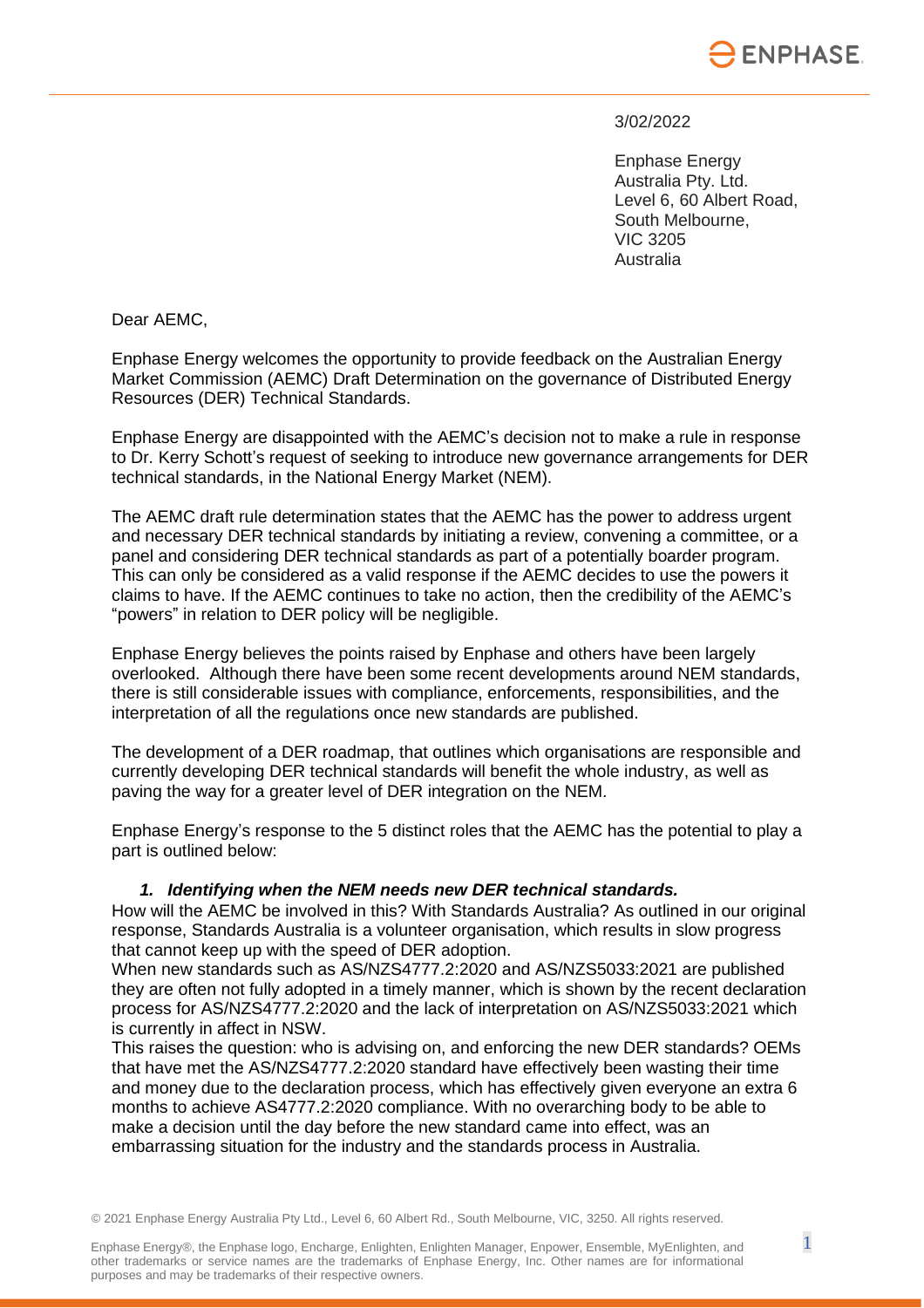

#### 3/02/2022

Enphase Energy Australia Pty. Ltd. Level 6, 60 Albert Road, South Melbourne, VIC 3205 Australia

Dear AEMC,

Enphase Energy welcomes the opportunity to provide feedback on the Australian Energy Market Commission (AEMC) Draft Determination on the governance of Distributed Energy Resources (DER) Technical Standards.

Enphase Energy are disappointed with the AEMC's decision not to make a rule in response to Dr. Kerry Schott's request of seeking to introduce new governance arrangements for DER technical standards, in the National Energy Market (NEM).

The AEMC draft rule determination states that the AEMC has the power to address urgent and necessary DER technical standards by initiating a review, convening a committee, or a panel and considering DER technical standards as part of a potentially boarder program. This can only be considered as a valid response if the AEMC decides to use the powers it claims to have. If the AEMC continues to take no action, then the credibility of the AEMC's "powers" in relation to DER policy will be negligible.

Enphase Energy believes the points raised by Enphase and others have been largely overlooked. Although there have been some recent developments around NEM standards, there is still considerable issues with compliance, enforcements, responsibilities, and the interpretation of all the regulations once new standards are published.

The development of a DER roadmap, that outlines which organisations are responsible and currently developing DER technical standards will benefit the whole industry, as well as paving the way for a greater level of DER integration on the NEM.

Enphase Energy's response to the 5 distinct roles that the AEMC has the potential to play a part is outlined below:

#### *1. Identifying when the NEM needs new DER technical standards.*

How will the AEMC be involved in this? With Standards Australia? As outlined in our original response, Standards Australia is a volunteer organisation, which results in slow progress that cannot keep up with the speed of DER adoption.

When new standards such as AS/NZS4777.2:2020 and AS/NZS5033:2021 are published they are often not fully adopted in a timely manner, which is shown by the recent declaration process for AS/NZS4777.2:2020 and the lack of interpretation on AS/NZS5033:2021 which is currently in affect in NSW.

This raises the question: who is advising on, and enforcing the new DER standards? OEMs that have met the AS/NZS4777.2:2020 standard have effectively been wasting their time and money due to the declaration process, which has effectively given everyone an extra 6 months to achieve AS4777.2:2020 compliance. With no overarching body to be able to make a decision until the day before the new standard came into effect, was an embarrassing situation for the industry and the standards process in Australia.

© 2021 Enphase Energy Australia Pty Ltd., Level 6, 60 Albert Rd., South Melbourne, VIC, 3250. All rights reserved.